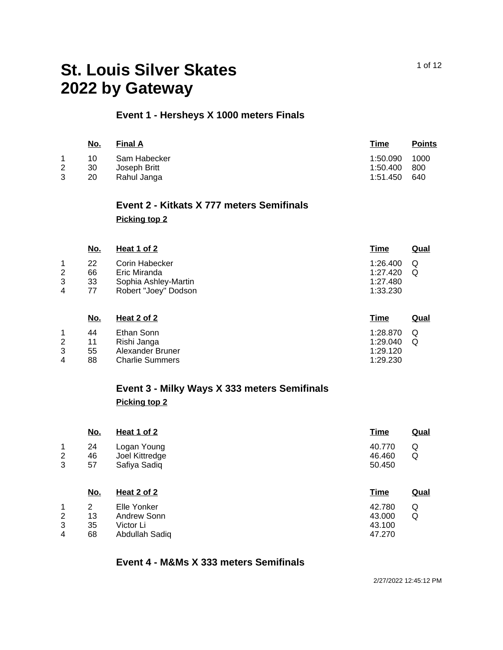# **Event 1 - Hersheys X 1000 meters Finals**

| <u>No.</u> | <b>Final A</b> | Time     | <b>Points</b> |
|------------|----------------|----------|---------------|
| 10         | Sam Habecker   | 1:50.090 | 1000          |
| 30         | Joseph Britt   | 1:50.400 | 800           |
| 20         | Rahul Janga    | 1:51.450 | 640           |
|            |                |          |               |

### **Event 2 - Kitkats X 777 meters Semifinals Picking top 2**

|             | <u>No.</u>           | Heat 1 of 2                                                                    | <b>Time</b>                                  | <b>Qual</b> |
|-------------|----------------------|--------------------------------------------------------------------------------|----------------------------------------------|-------------|
| 2<br>3<br>4 | 22<br>66<br>33<br>77 | Corin Habecker<br>Eric Miranda<br>Sophia Ashley-Martin<br>Robert "Joey" Dodson | 1:26.400<br>1:27.420<br>1:27.480<br>1:33.230 | Q<br>Q      |
|             | No.                  | Heat 2 of 2                                                                    | <u>Time</u>                                  | Qual        |

|   |    |                        | ------            |   |
|---|----|------------------------|-------------------|---|
|   | 44 | Ethan Sonn             | 1:28.870 $\Omega$ |   |
|   | 11 | Rishi Janga            | 1:29.040          | O |
|   | 55 | Alexander Bruner       | 1:29.120          |   |
| 4 | 88 | <b>Charlie Summers</b> | 1:29.230          |   |

### **Event 3 - Milky Ways X 333 meters Semifinals Picking top 2**

| No.                           | Heat 1 of 2                                   | <b>Time</b>                | <b>Qual</b> |
|-------------------------------|-----------------------------------------------|----------------------------|-------------|
| 1<br>24<br>2<br>46<br>3<br>57 | Logan Young<br>Joel Kittredge<br>Safiya Sadiq | 40.770<br>46.460<br>50.450 | Q<br>Q      |
|                               |                                               |                            |             |
| No.                           | Heat 2 of 2                                   | <b>Time</b>                | <b>Qual</b> |
| 1<br>2                        | Elle Yonker                                   | 42.780                     | Q           |
| 2<br>13                       | Andrew Sonn                                   | 43.000                     | Q           |
| 3<br>35                       | Victor Li                                     | 43.100                     |             |

#### **Event 4 - M&Ms X 333 meters Semifinals**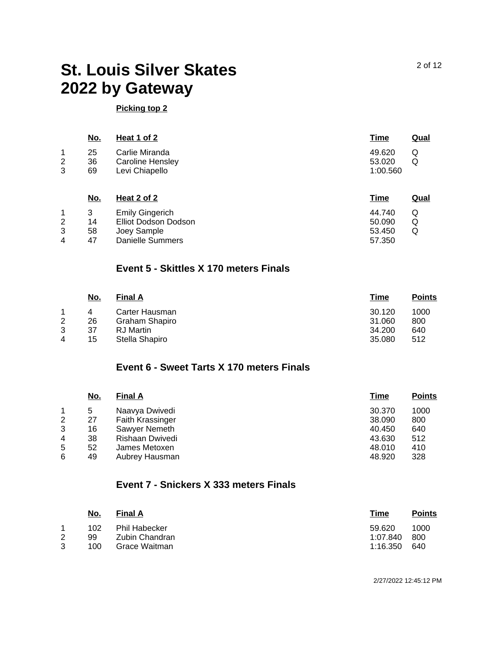#### **Picking top 2**

|             | <u>No.</u>     | Heat 1 of 2                                                 | <u>Time</u>                  | <u>Qual</u> |
|-------------|----------------|-------------------------------------------------------------|------------------------------|-------------|
| 1<br>2<br>3 | 25<br>36<br>69 | Carlie Miranda<br><b>Caroline Hensley</b><br>Levi Chiapello | 49.620<br>53.020<br>1:00.560 | Q<br>Q      |
|             | <u>No.</u>     | Heat 2 of 2                                                 | <u>Time</u>                  | Qual        |

|   |    | <b>Emily Gingerich</b> | 44.740 |  |
|---|----|------------------------|--------|--|
|   | 14 | Elliot Dodson Dodson   | 50.090 |  |
|   | 58 | Joev Sample            | 53.450 |  |
| 4 | 47 | Danielle Summers       | 57.350 |  |

#### **Event 5 - Skittles X 170 meters Finals**

|                | No. | <b>Final A</b>   | Time   | <b>Points</b> |
|----------------|-----|------------------|--------|---------------|
|                |     | Carter Hausman   | 30.120 | 1000          |
| $\overline{2}$ | 26  | Graham Shapiro   | 31.060 | 800           |
| 3              | 37  | <b>RJ</b> Martin | 34.200 | 640           |
| 4              | 15  | Stella Shapiro   | 35,080 | 512           |

# **Event 6 - Sweet Tarts X 170 meters Finals**

|                | <u>No.</u> | <b>Final A</b>   | Time   | <b>Points</b> |
|----------------|------------|------------------|--------|---------------|
|                | 5          | Naavya Dwivedi   | 30.370 | 1000          |
| $\overline{2}$ | 27         | Faith Krassinger | 38.090 | 800           |
| 3              | 16         | Sawyer Nemeth    | 40.450 | 640           |
| 4              | 38         | Rishaan Dwivedi  | 43.630 | 512           |
| 5              | 52         | James Metoxen    | 48.010 | 410           |
| 6              | 49         | Aubrey Hausman   | 48.920 | 328           |

### **Event 7 - Snickers X 333 meters Finals**

|   | <u>No.</u> | Final A              | Time     | <b>Points</b> |
|---|------------|----------------------|----------|---------------|
|   | 102        | <b>Phil Habecker</b> | 59.620   | 1000          |
| 2 | 99         | Zubin Chandran       | 1:07.840 | 800           |
| 3 | 100        | Grace Waitman        | 1:16.350 | 640           |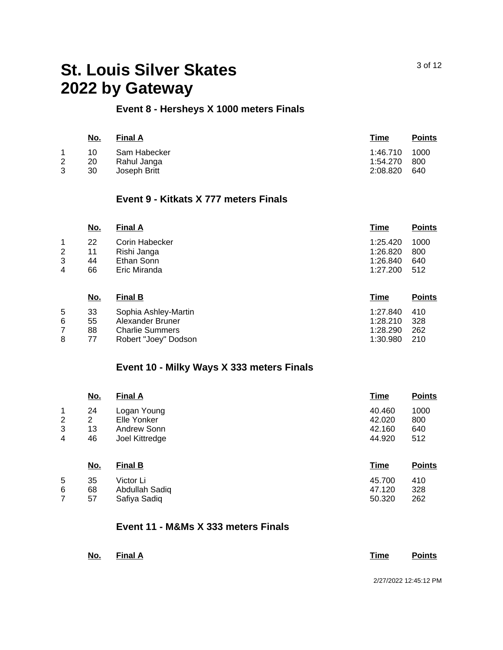#### **Event 8 - Hersheys X 1000 meters Finals**

|              | <u>No.</u> | <b>Final A</b> | Time          | <b>Points</b> |
|--------------|------------|----------------|---------------|---------------|
|              | 10         | Sam Habecker   | 1:46.710 1000 |               |
| $\mathbf{2}$ | 20         | Rahul Janga    | 1:54.270      | - 800         |
| 3            | 30         | Joseph Britt   | 2:08.820      | 640           |

#### **Event 9 - Kitkats X 777 meters Finals**

|                | <u>No.</u> | <b>Final A</b> | <b>Time</b> | <b>Points</b> |
|----------------|------------|----------------|-------------|---------------|
|                | 22         | Corin Habecker | 1:25.420    | 1000          |
| $\overline{2}$ | 11         | Rishi Janga    | 1:26.820    | 800           |
| 3              | 44         | Ethan Sonn     | 1:26.840    | 640           |
| 4              | 66         | Eric Miranda   | 1:27.200    | 512           |
|                |            |                |             |               |

|   | No. | <b>Final B</b>         | Time     | <b>Points</b> |
|---|-----|------------------------|----------|---------------|
| 5 | 33  | Sophia Ashley-Martin   | 1:27.840 | - 410         |
| 6 | 55  | Alexander Bruner       | 1:28.210 | - 328         |
|   | 88  | <b>Charlie Summers</b> | 1:28.290 | -262          |
| 8 | 77  | Robert "Joey" Dodson   | 1:30.980 | 210           |

# **Event 10 - Milky Ways X 333 meters Finals**

|   | <u>No.</u>     | <b>Final A</b> | <b>Time</b> | <b>Points</b> |
|---|----------------|----------------|-------------|---------------|
| 1 | 24             | Logan Young    | 40.460      | 1000          |
| 2 | $\overline{2}$ | Elle Yonker    | 42.020      | 800           |
| 3 | 13             | Andrew Sonn    | 42.160      | 640           |
| 4 | 46             | Joel Kittredge | 44.920      | 512           |
|   | <u>No.</u>     | <b>Final B</b> | <b>Time</b> | <b>Points</b> |
| 5 | 35             | Victor Li      | 45.700      | 410           |
| 6 | 68             | Abdullah Sadiq | 47.120      | 328           |
| 7 | 57             | Safiya Sadiq   | 50.320      | 262           |

#### **Event 11 - M&Ms X 333 meters Finals**

| <u> The Communication of the Communication of the Communication of the Communication of the Communication of the Communication of the Communication of the Communication of the Communication of the Communication of the Commun</u> | No. Final A |  | <u> The Communication of the Communication of the Communication of the Communication of the Communication of the Communication of the Communication of the Communication of the Communication of the Communication of the Commun</u> | Time Points |
|--------------------------------------------------------------------------------------------------------------------------------------------------------------------------------------------------------------------------------------|-------------|--|--------------------------------------------------------------------------------------------------------------------------------------------------------------------------------------------------------------------------------------|-------------|
|                                                                                                                                                                                                                                      |             |  |                                                                                                                                                                                                                                      |             |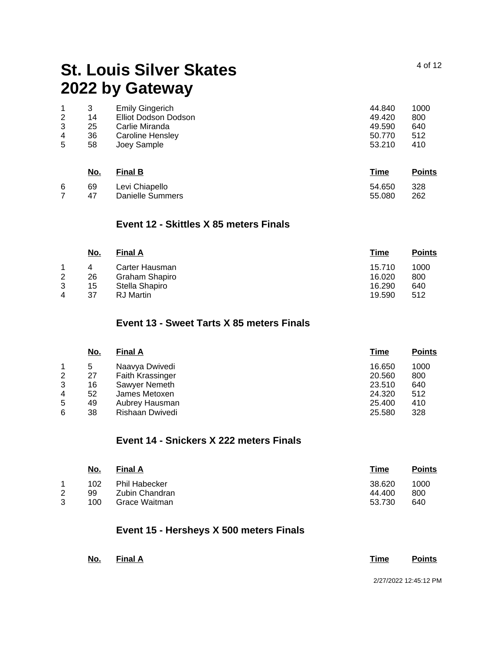|   |    | <b>Emily Gingerich</b> | 44.840 | 1000 |
|---|----|------------------------|--------|------|
| 2 | 14 | Elliot Dodson Dodson   | 49.420 | 800  |
| 3 | 25 | Carlie Miranda         | 49.590 | 640  |
| 4 | 36 | Caroline Hensley       | 50.770 | 512  |
| 5 | 58 | Joey Sample            | 53.210 | 410  |
|   |    |                        |        |      |
|   |    |                        |        |      |

|   | <u>No.</u> | <b>Final B</b>   | <u>Time</u> | <b>Points</b> |
|---|------------|------------------|-------------|---------------|
| 6 | 69         | Levi Chiapello   | 54.650      | -328          |
|   | 47         | Danielle Summers | 55.080      | 262           |

#### **Event 12 - Skittles X 85 meters Finals**

| <u>No.</u> | <b>Final A</b> | Time   | <b>Points</b> |
|------------|----------------|--------|---------------|
| 4          | Carter Hausman | 15.710 | 1000          |
| 26         | Graham Shapiro | 16.020 | 800           |
| 15         | Stella Shapiro | 16.290 | 640           |
| 37         | RJ Martin      | 19.590 | 512           |
|            |                |        |               |

# **Event 13 - Sweet Tarts X 85 meters Finals**

|   | <u>No.</u> | <b>Final A</b>   | <b>Time</b> | <b>Points</b> |
|---|------------|------------------|-------------|---------------|
|   | 5          | Naavya Dwivedi   | 16.650      | 1000          |
| 2 | 27         | Faith Krassinger | 20.560      | 800           |
| 3 | 16         | Sawyer Nemeth    | 23.510      | 640           |
| 4 | 52         | James Metoxen    | 24.320      | 512           |
| 5 | 49         | Aubrey Hausman   | 25.400      | 410           |
| 6 | 38         | Rishaan Dwivedi  | 25.580      | 328           |

# **Event 14 - Snickers X 222 meters Finals**

|   | <u>No.</u> | <b>Final A</b>       | Time   | <b>Points</b> |
|---|------------|----------------------|--------|---------------|
|   | 102        | <b>Phil Habecker</b> | 38.620 | 1000          |
|   | 99         | Zubin Chandran       | 44.400 | 800           |
| 3 | 100        | Grace Waitman        | 53.730 | 640           |
|   |            |                      |        |               |

# **Event 15 - Hersheys X 500 meters Finals**

| <u>No.</u> | <u>Final A</u> |  |  | Time | <b>Points</b>         |
|------------|----------------|--|--|------|-----------------------|
|            |                |  |  |      | 2/27/2022 12:45:12 PM |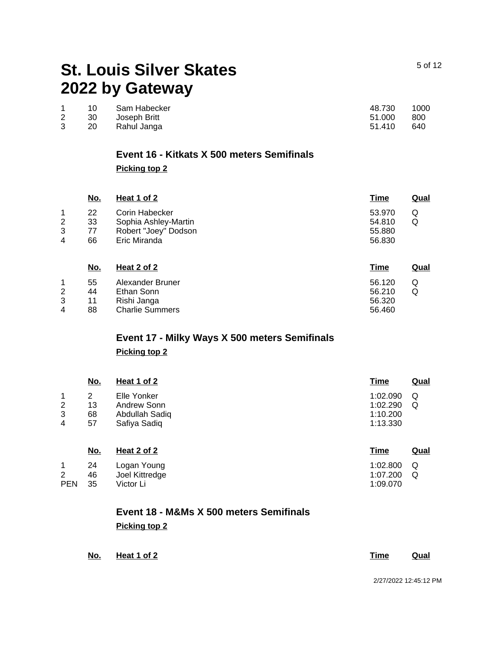|              |      | 10 Sam Habecker | 48.730 | 1000  |
|--------------|------|-----------------|--------|-------|
| $\mathbf{2}$ |      | 30 Joseph Britt | 51.000 | - 800 |
|              | 20 I | Rahul Janga     | 51.410 | -640  |

### **Event 16 - Kitkats X 500 meters Semifinals**

**Picking top 2**

|   | <u>No.</u> | Heat 1 of 2          | <u>Time</u> | <u>Qual</u> |
|---|------------|----------------------|-------------|-------------|
|   | 22         | Corin Habecker       | 53.970      | Q           |
| 2 | 33         | Sophia Ashley-Martin | 54.810      | Q           |
| 3 | 77         | Robert "Joey" Dodson | 55.880      |             |
| 4 | 66         | Eric Miranda         | 56.830      |             |
|   |            |                      |             |             |

|   | No. | Heat 2 of 2            | <u>Time</u> | Qual |
|---|-----|------------------------|-------------|------|
|   | 55  | Alexander Bruner       | 56.120      | Ő    |
| 2 | 44  | Ethan Sonn             | 56.210      |      |
| 3 | 11  | Rishi Janga            | 56.320      |      |
| 4 | 88  | <b>Charlie Summers</b> | 56.460      |      |

# **Event 17 - Milky Ways X 500 meters Semifinals Picking top 2**

|   | <u>No.</u> | Heat 1 of 2    | <b>Time</b> | <b>Qual</b> |
|---|------------|----------------|-------------|-------------|
| 1 | 2          | Elle Yonker    | 1:02.090    | Q           |
| 2 | 13         | Andrew Sonn    | 1:02.290    | Q           |
| 3 | 68         | Abdullah Sadiq | 1:10.200    |             |
| 4 | 57         | Safiya Sadiq   | 1:13.330    |             |
|   | <u>No.</u> | Heat 2 of 2    | <b>Time</b> | Qual        |
| 1 | 24         | Logan Young    | 1:02.800    | Q           |

|            |     | Luyan Tuuny    | <b>WWW.POOLS</b> |  |
|------------|-----|----------------|------------------|--|
|            | -46 | Joel Kittredge | 1:07.200 Q       |  |
| <b>PEN</b> | 35  | Victor Li      | 1:09.070         |  |

# **Event 18 - M&Ms X 500 meters Semifinals Picking top 2**

| No. | Heat 1 of 2 | Time | Qual |
|-----|-------------|------|------|
|     |             |      |      |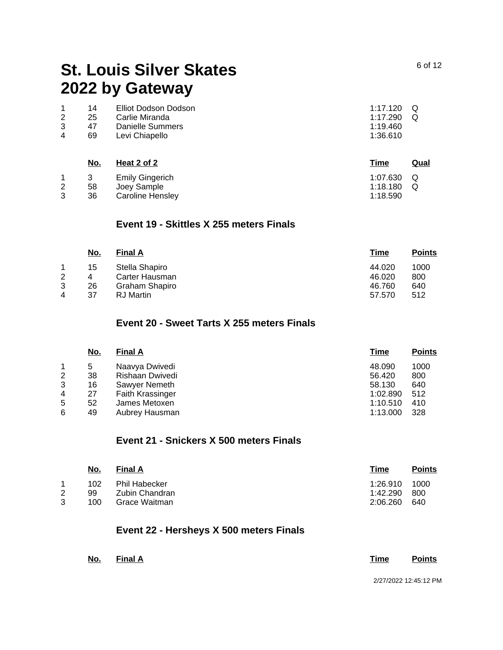|   | 14 | Elliot Dodson Dodson | 1:17.120 $Q$ |  |
|---|----|----------------------|--------------|--|
|   | 25 | Carlie Miranda       | $1:17.290$ Q |  |
|   | 47 | Danielle Summers     | 1:19.460     |  |
| 4 | 69 | Levi Chiapello       | 1:36.610     |  |
|   |    |                      |              |  |

|   | No. | Heat 2 of 2            | <b>Time</b>  | Qual |
|---|-----|------------------------|--------------|------|
|   |     | <b>Emily Gingerich</b> | 1:07.630 $Q$ |      |
| 2 | 58  | Joev Sample            | $1:18.180$ Q |      |
| 3 | 36  | Caroline Hensley       | 1:18.590     |      |

#### **Event 19 - Skittles X 255 meters Finals**

| <u>No.</u> | <b>Final A</b> | Time   | <b>Points</b> |
|------------|----------------|--------|---------------|
| 15         | Stella Shapiro | 44.020 | 1000          |
|            | Carter Hausman | 46.020 | 800           |
| 26         | Graham Shapiro | 46.760 | 640           |
| 37         | RJ Martin      | 57.570 | 512           |
|            |                |        |               |

# **Event 20 - Sweet Tarts X 255 meters Finals**

|   | <u>No.</u> | <b>Final A</b>   | <b>Time</b> | <b>Points</b> |
|---|------------|------------------|-------------|---------------|
|   | 5          | Naavya Dwivedi   | 48.090      | 1000          |
| 2 | 38         | Rishaan Dwivedi  | 56.420      | 800           |
| 3 | 16         | Sawyer Nemeth    | 58.130      | 640           |
| 4 | 27         | Faith Krassinger | 1:02.890    | 512           |
| 5 | 52         | James Metoxen    | 1:10.510    | 410           |
| 6 | 49         | Aubrey Hausman   | 1:13.000    | 328           |

# **Event 21 - Snickers X 500 meters Finals**

| <u>No.</u> | <b>Final A</b> | Time     | <b>Points</b> |
|------------|----------------|----------|---------------|
| 102        | Phil Habecker  | 1:26.910 | 1000          |
| 99         | Zubin Chandran | 1:42.290 | -800          |
| 100        | Grace Waitman  | 2:06.260 | 640           |
|            |                |          |               |

### **Event 22 - Hersheys X 500 meters Finals**

| <u>No. Final A</u> | Time | <b>Points</b>         |
|--------------------|------|-----------------------|
|                    |      | 2/27/2022 12:45:12 PM |

6 of 12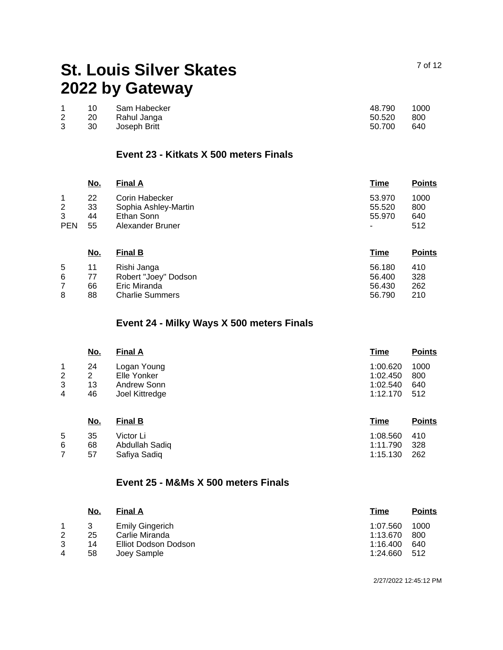|             | 10  | Sam Habecker    | 48.790 | 1000 |
|-------------|-----|-----------------|--------|------|
| $2^{\circ}$ | -20 | Rahul Janga     | 50.520 | -800 |
| 3           |     | 30 Joseph Britt | 50.700 | 640  |

### **Event 23 - Kitkats X 500 meters Finals**

|                | <u>No.</u> | <b>Final A</b>       | <u>Time</u> | <b>Points</b> |
|----------------|------------|----------------------|-------------|---------------|
|                | 22         | Corin Habecker       | 53.970      | 1000          |
| $\overline{2}$ | 33         | Sophia Ashley-Martin | 55.520      | 800           |
| 3              | 44         | Ethan Sonn           | 55,970      | 640           |
| <b>PEN</b>     | 55         | Alexander Bruner     | ۰           | 512           |

| <u>No.</u> | <b>Final B</b>         | Time   | <b>Points</b> |
|------------|------------------------|--------|---------------|
| 11         | Rishi Janga            | 56.180 | 410           |
| 77         | Robert "Joey" Dodson   | 56.400 | 328           |
| 66         | Eric Miranda           | 56.430 | 262           |
| 88         | <b>Charlie Summers</b> | 56.790 | 210           |
|            |                        |        |               |

# **Event 24 - Milky Ways X 500 meters Finals**

|   | <u>No.</u> | <b>Final A</b> | Time     | <b>Points</b> |
|---|------------|----------------|----------|---------------|
|   | 24         | Logan Young    | 1:00.620 | 1000          |
| 2 | 2          | Elle Yonker    | 1:02.450 | 800           |
| 3 | 13         | Andrew Sonn    | 1:02.540 | 640           |
| 4 | 46         | Joel Kittredge | 1:12.170 | 512           |
|   |            |                |          |               |

|   | <u>No.</u> | <b>Final B</b> | <b>Time</b>  | <b>Points</b> |
|---|------------|----------------|--------------|---------------|
| 5 | 35         | Victor Li      | 1:08.560 410 |               |
| 6 | 68         | Abdullah Sadiq | 1:11.790 328 |               |
|   | 57         | Safiva Sadig   | 1:15.130     | - 262         |

#### **Event 25 - M&Ms X 500 meters Finals**

| <u>No.</u> | <b>Final A</b>         | Time     | <b>Points</b> |
|------------|------------------------|----------|---------------|
| -3         | <b>Emily Gingerich</b> | 1:07.560 | 1000          |
| 25         | Carlie Miranda         | 1:13.670 | 800           |
| 14         | Elliot Dodson Dodson   | 1:16.400 | 640           |
| 58         | Joey Sample            | 1:24.660 | 512           |
|            |                        |          |               |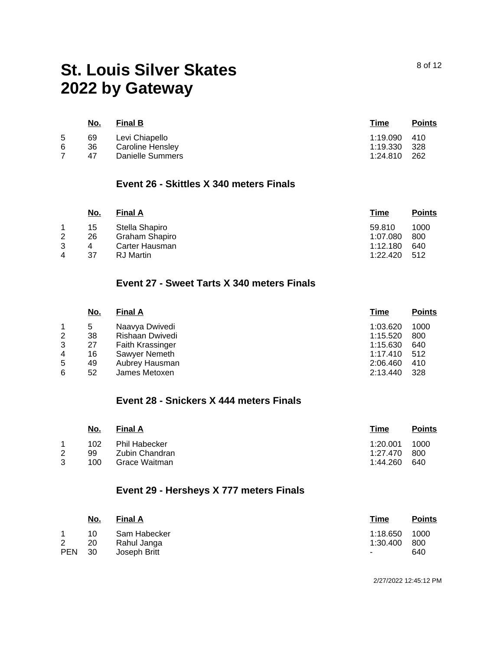|   | <u>No.</u> | <b>Final B</b>   | Time     | <b>Points</b> |
|---|------------|------------------|----------|---------------|
| 5 | 69         | Levi Chiapello   | 1:19.090 | - 410         |
| 6 | 36         | Caroline Hensley | 1:19.330 | - 328         |
|   | 47         | Danielle Summers | 1:24.810 | 262           |
|   |            |                  |          |               |

#### **Event 26 - Skittles X 340 meters Finals**

|   | No. | <b>Final A</b>   | <u>Time</u> | <b>Points</b> |
|---|-----|------------------|-------------|---------------|
|   | 15  | Stella Shapiro   | 59.810      | 1000          |
| 2 | 26  | Graham Shapiro   | 1:07.080    | 800           |
| 3 | 4   | Carter Hausman   | 1:12.180    | 640           |
| 4 | 37  | <b>RJ</b> Martin | 1:22.420    | 512           |

### **Event 27 - Sweet Tarts X 340 meters Finals**

|                | No. | <b>Final A</b>   | Time     | <b>Points</b> |
|----------------|-----|------------------|----------|---------------|
|                | 5   | Naavya Dwivedi   | 1:03.620 | 1000          |
| $\overline{2}$ | 38  | Rishaan Dwivedi  | 1:15.520 | 800           |
| 3              | 27  | Faith Krassinger | 1:15.630 | 640           |
| 4              | 16  | Sawyer Nemeth    | 1:17.410 | 512           |
| 5              | 49  | Aubrey Hausman   | 2:06.460 | 410           |
| 6              | 52  | James Metoxen    | 2:13.440 | 328           |

#### **Event 28 - Snickers X 444 meters Finals**

|   | No.       | <b>Final A</b>                         | Time                 | <b>Points</b> |
|---|-----------|----------------------------------------|----------------------|---------------|
| 2 | 102<br>99 | <b>Phil Habecker</b><br>Zubin Chandran | 1:20.001<br>1:27.470 | 1000<br>-800  |
| 3 | 100       | Grace Waitman                          | 1:44.260             | 640           |

# **Event 29 - Hersheys X 777 meters Finals**

|              | <u>No.</u> | <b>Final A</b> | <u>Time</u> | <b>Points</b> |
|--------------|------------|----------------|-------------|---------------|
|              | 10         | Sam Habecker   | 1:18.650    | 1000          |
| $\mathbf{2}$ | 20         | Rahul Janga    | 1:30.400    | -800          |
| <b>PEN</b>   | - 30       | Joseph Britt   | $\sim$      | 640           |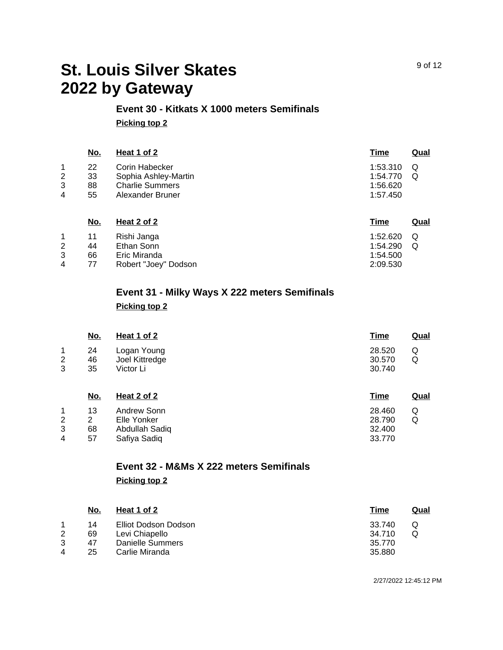#### **Event 30 - Kitkats X 1000 meters Semifinals Picking top 2**

|                   | <u>No.</u>           | Heat 1 of 2                                                                          | <u>Time</u>                                  | Qual   |
|-------------------|----------------------|--------------------------------------------------------------------------------------|----------------------------------------------|--------|
| 1.<br>2<br>3<br>4 | 22<br>33<br>88<br>55 | Corin Habecker<br>Sophia Ashley-Martin<br><b>Charlie Summers</b><br>Alexander Bruner | 1:53.310<br>1:54.770<br>1:56.620<br>1:57.450 | Q<br>Q |
|                   | No.                  | Heat 2 of 2                                                                          | <u>Time</u>                                  | Qual   |

|   | 11 | Rishi Janga          | 1:52.620 $Q$ |  |
|---|----|----------------------|--------------|--|
|   | 44 | Ethan Sonn           | $1:54.290$ Q |  |
|   | 66 | Eric Miranda         | 1:54.500     |  |
| 4 | 77 | Robert "Joey" Dodson | 2:09.530     |  |

# **Event 31 - Milky Ways X 222 meters Semifinals Picking top 2**

|             | No.            | Heat 1 of 2                                | <b>Time</b>                | Qual   |
|-------------|----------------|--------------------------------------------|----------------------------|--------|
| 1<br>2<br>3 | 24<br>46<br>35 | Logan Young<br>Joel Kittredge<br>Victor Li | 28.520<br>30.570<br>30.740 | Q<br>Q |
|             | <u>No.</u>     | Heat 2 of 2                                | <b>Time</b>                | Qual   |
| 1           | 13             | Andrew Sonn                                | 28.460                     | Q      |
| 2           | $\overline{2}$ | Elle Yonker                                | 28.790                     | Q      |
| 3           | 68             | Abdullah Sadiq                             | 32.400                     |        |
| 4           | 57             | Safiya Sadiq                               | 33.770                     |        |

# **Event 32 - M&Ms X 222 meters Semifinals Picking top 2**

|                | No. | Heat 1 of 2          | Time   | Qual |
|----------------|-----|----------------------|--------|------|
|                | 14  | Elliot Dodson Dodson | 33.740 | Q    |
| 2              | 69  | Levi Chiapello       | 34.710 |      |
| 3              | 47  | Danielle Summers     | 35.770 |      |
| $\overline{4}$ | 25  | Carlie Miranda       | 35,880 |      |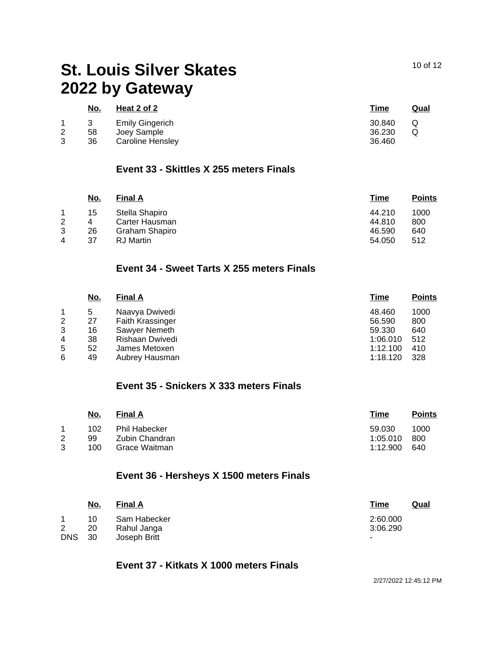|   | <u>No.</u> | Heat 2 of 2            | Time   | <b>Qual</b> |
|---|------------|------------------------|--------|-------------|
|   |            | <b>Emily Gingerich</b> | 30.840 |             |
| 2 | 58         | Joey Sample            | 36.230 |             |
| 2 | 36         | Caroline Hensley       | 36.460 |             |

#### **Event 33 - Skittles X 255 meters Finals**

|   | <u>No.</u> | <b>Final A</b>   | <u>Time</u> | <b>Points</b> |
|---|------------|------------------|-------------|---------------|
|   | 15         | Stella Shapiro   | 44.210      | 1000          |
| 2 | 4          | Carter Hausman   | 44.810      | 800           |
| 3 | 26         | Graham Shapiro   | 46.590      | 640           |
| 4 | 37         | <b>RJ</b> Martin | 54.050      | 512           |

### **Event 34 - Sweet Tarts X 255 meters Finals**

|   | <u>No.</u> | <b>Final A</b>          | <u>Time</u> | <b>Points</b> |
|---|------------|-------------------------|-------------|---------------|
|   | 5          | Naavya Dwivedi          | 48.460      | 1000          |
| 2 | 27         | <b>Faith Krassinger</b> | 56.590      | 800           |
| 3 | 16         | Sawyer Nemeth           | 59.330      | 640           |
| 4 | 38         | Rishaan Dwivedi         | 1:06.010    | 512           |
| 5 | 52         | James Metoxen           | 1:12.100    | 410           |
| 6 | 49         | Aubrey Hausman          | 1:18.120    | 328           |

### **Event 35 - Snickers X 333 meters Finals**

|   | No. | <b>Final A</b>       | Time     | <b>Points</b> |
|---|-----|----------------------|----------|---------------|
|   | 102 | <b>Phil Habecker</b> | 59.030   | 1000          |
| 2 | 99  | Zubin Chandran       | 1:05.010 | -800          |
| 3 | 100 | Grace Waitman        | 1:12.900 | 640           |

### **Event 36 - Hersheys X 1500 meters Finals**

|               | <u>No.</u> | <b>Final A</b> | <u>Time</u><br><u>Qual</u> |
|---------------|------------|----------------|----------------------------|
|               | 10         | Sam Habecker   | 2:60.000                   |
| 2             | 20         | Rahul Janga    | 3:06.290                   |
| <b>DNS</b> 30 |            | Joseph Britt   |                            |

### **Event 37 - Kitkats X 1000 meters Finals**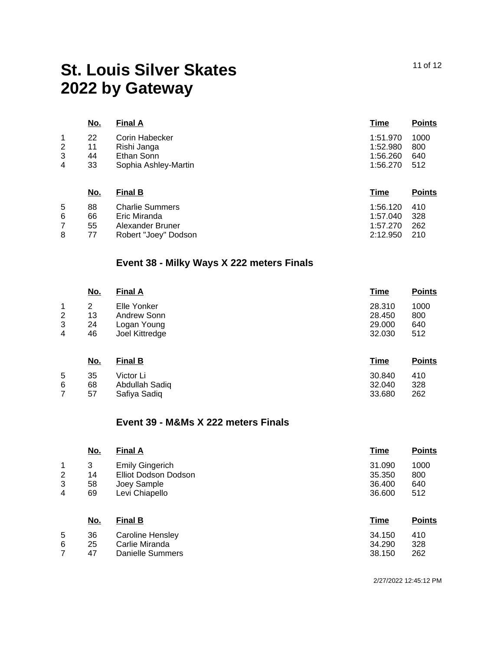|                               | <u>No.</u>           | <b>Final A</b>                                                             | Time                                         | <b>Points</b>             |
|-------------------------------|----------------------|----------------------------------------------------------------------------|----------------------------------------------|---------------------------|
| 1<br>$\overline{2}$<br>3<br>4 | 22<br>11<br>44<br>33 | <b>Corin Habecker</b><br>Rishi Janga<br>Ethan Sonn<br>Sophia Ashley-Martin | 1:51.970<br>1:52.980<br>1:56.260<br>1:56.270 | 1000<br>800<br>640<br>512 |
|                               | <u>No.</u>           | <b>Final B</b>                                                             | <u>Time</u>                                  | <b>Points</b>             |

| 5  | 88   | Charlie Summers      | 1:56.120 410 |  |
|----|------|----------------------|--------------|--|
| 6. | 66.  | Eric Miranda         | 1:57.040 328 |  |
|    | 55   | Alexander Bruner     | 1:57.270 262 |  |
|    | - 77 | Robert "Joey" Dodson | 2:12.950 210 |  |

# **Event 38 - Milky Ways X 222 meters Finals**

|             | <u>No.</u>    | <b>Final A</b>                            | <b>Time</b>                | <b>Points</b>      |
|-------------|---------------|-------------------------------------------|----------------------------|--------------------|
| 1<br>2<br>3 | 2<br>13<br>24 | Elle Yonker<br>Andrew Sonn<br>Logan Young | 28.310<br>28.450<br>29.000 | 1000<br>800<br>640 |
| 4           | 46            | Joel Kittredge                            | 32.030                     | 512                |
|             | <u>No.</u>    | <b>Final B</b>                            | <b>Time</b>                | <b>Points</b>      |
| 5<br>6      | 35<br>68      | Victor Li<br>Abdullah Sadiq               | 30.840<br>32.040           | 410<br>328         |

#### **Event 39 - M&Ms X 222 meters Finals**

7

57

Safiya Sadiq

|                | <u>No.</u> | <b>Final A</b>          | <b>Time</b> | <b>Points</b> |
|----------------|------------|-------------------------|-------------|---------------|
| 1              | 3          | <b>Emily Gingerich</b>  | 31.090      | 1000          |
| $\overline{2}$ | 14         | Elliot Dodson Dodson    | 35,350      | 800           |
| 3              | 58         | Joey Sample             | 36.400      | 640           |
| 4              | 69         | Levi Chiapello          | 36,600      | 512           |
|                | No.        | <b>Final B</b>          | <b>Time</b> | <b>Points</b> |
| 5              | 36         | <b>Caroline Hensley</b> | 34.150      | 410           |
| 6              | 25         | Carlie Miranda          | 34.290      | 328           |
| 7              | 47         | Danielle Summers        | 38.150      | 262           |

11 of 12

2/27/2022 12:45:12 PM

33.680

262